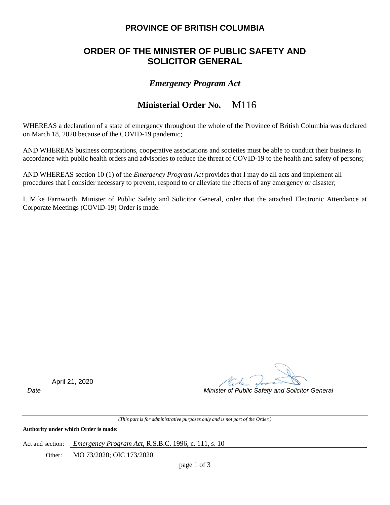## **PROVINCE OF BRITISH COLUMBIA**

# **ORDER OF THE MINISTER OF PUBLIC SAFETY AND SOLICITOR GENERAL**

### *Emergency Program Act*

#### **Ministerial Order No.**  M116

WHEREAS a declaration of a state of emergency throughout the whole of the Province of British Columbia was declared on March 18, 2020 because of the COVID-19 pandemic;

AND WHEREAS business corporations, cooperative associations and societies must be able to conduct their business in accordance with public health orders and advisories to reduce the threat of COVID-19 to the health and safety of persons;

AND WHEREAS section 10 (1) of the *Emergency Program Act* provides that I may do all acts and implement all procedures that I consider necessary to prevent, respond to or alleviate the effects of any emergency or disaster;

I, Mike Farnworth, Minister of Public Safety and Solicitor General, order that the attached Electronic Attendance at Corporate Meetings (COVID-19) Order is made.

April 21, 2020

*Date Minister of Public Safety and Solicitor General*

*(This part is for administrative purposes only and is not part of the Order.)*

**Authority under which Order is made:**

Act and section: *Emergency Program Act*, R.S.B.C. 1996, c. 111, s. 10

Other: MO 73/2020; OIC 173/2020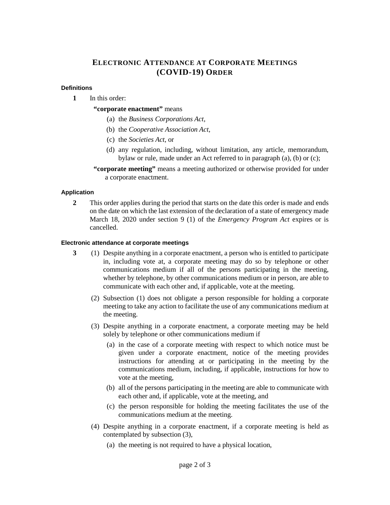### **ELECTRONIC ATTENDANCE AT CORPORATE MEETINGS (COVID-19) ORDER**

### **Definitions**

**1** In this order:

### **"corporate enactment"** means

- (a) the *Business Corporations Act*,
- (b) the *Cooperative Association Act*,
- (c) the *Societies Act*, or
- (d) any regulation, including, without limitation, any article, memorandum, bylaw or rule, made under an Act referred to in paragraph (a), (b) or (c);
- **"corporate meeting"** means a meeting authorized or otherwise provided for under a corporate enactment.

### **Application**

**2** This order applies during the period that starts on the date this order is made and ends on the date on which the last extension of the declaration of a state of emergency made March 18, 2020 under section 9 (1) of the *Emergency Program Act* expires or is cancelled.

#### **Electronic attendance at corporate meetings**

- **3** (1) Despite anything in a corporate enactment, a person who is entitled to participate in, including vote at, a corporate meeting may do so by telephone or other communications medium if all of the persons participating in the meeting, whether by telephone, by other communications medium or in person, are able to communicate with each other and, if applicable, vote at the meeting.
	- (2) Subsection (1) does not obligate a person responsible for holding a corporate meeting to take any action to facilitate the use of any communications medium at the meeting.
	- (3) Despite anything in a corporate enactment, a corporate meeting may be held solely by telephone or other communications medium if
		- (a) in the case of a corporate meeting with respect to which notice must be given under a corporate enactment, notice of the meeting provides instructions for attending at or participating in the meeting by the communications medium, including, if applicable, instructions for how to vote at the meeting,
		- (b) all of the persons participating in the meeting are able to communicate with each other and, if applicable, vote at the meeting, and
		- (c) the person responsible for holding the meeting facilitates the use of the communications medium at the meeting.
	- (4) Despite anything in a corporate enactment, if a corporate meeting is held as contemplated by subsection (3),
		- (a) the meeting is not required to have a physical location,